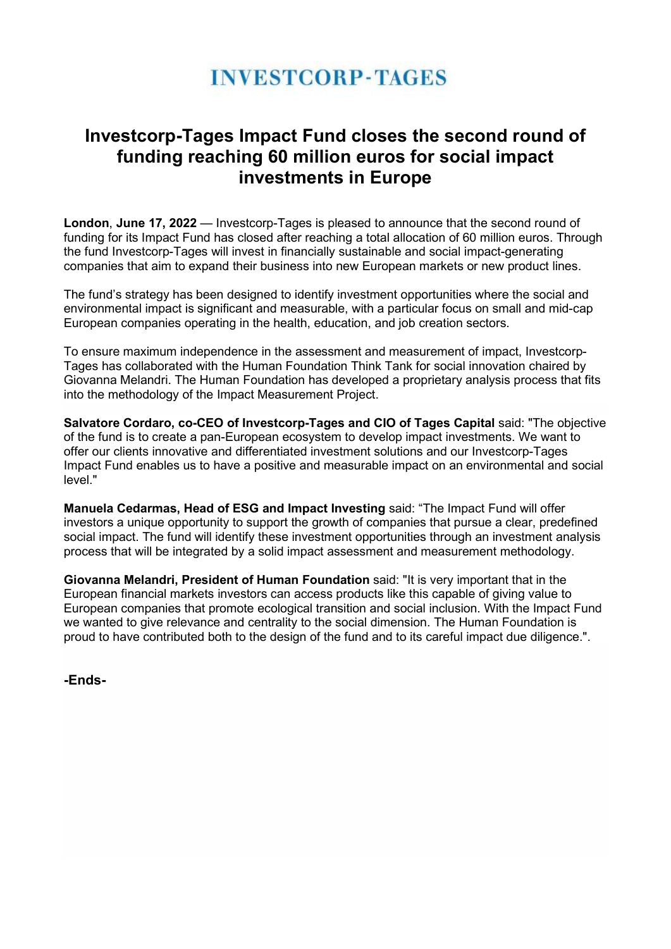# **INVESTCORP-TAGES**

### Investcorp-Tages Impact Fund closes the second round of funding reaching 60 million euros for social impact investments in Europe

London, June 17, 2022 — Investcorp-Tages is pleased to announce that the second round of funding for its Impact Fund has closed after reaching a total allocation of 60 million euros. Through the fund Investcorp-Tages will invest in financially sustainable and social impact-generating companies that aim to expand their business into new European markets or new product lines.

The fund's strategy has been designed to identify investment opportunities where the social and environmental impact is significant and measurable, with a particular focus on small and mid-cap European companies operating in the health, education, and job creation sectors.

To ensure maximum independence in the assessment and measurement of impact, Investcorp-Tages has collaborated with the Human Foundation Think Tank for social innovation chaired by Giovanna Melandri. The Human Foundation has developed a proprietary analysis process that fits into the methodology of the Impact Measurement Project.

Salvatore Cordaro, co-CEO of Investcorp-Tages and CIO of Tages Capital said: "The objective of the fund is to create a pan-European ecosystem to develop impact investments. We want to offer our clients innovative and differentiated investment solutions and our Investcorp-Tages Impact Fund enables us to have a positive and measurable impact on an environmental and social level."

Manuela Cedarmas, Head of ESG and Impact Investing said: "The Impact Fund will offer investors a unique opportunity to support the growth of companies that pursue a clear, predefined social impact. The fund will identify these investment opportunities through an investment analysis process that will be integrated by a solid impact assessment and measurement methodology.

Giovanna Melandri, President of Human Foundation said: "It is very important that in the European financial markets investors can access products like this capable of giving value to European companies that promote ecological transition and social inclusion. With the Impact Fund we wanted to give relevance and centrality to the social dimension. The Human Foundation is proud to have contributed both to the design of the fund and to its careful impact due diligence.".

-Ends-